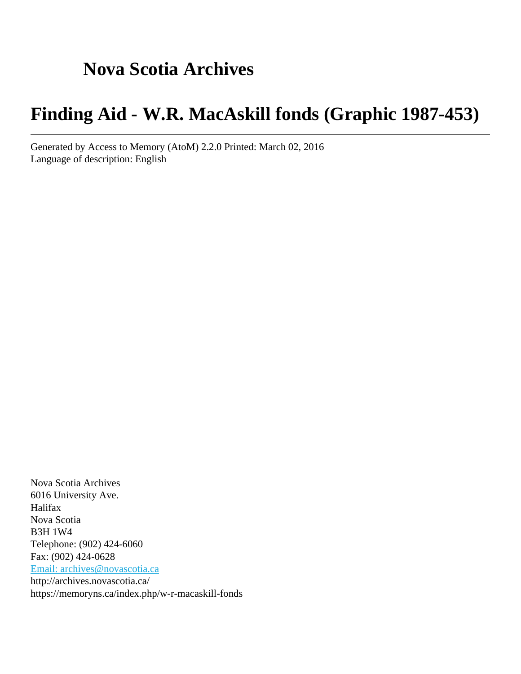# **Nova Scotia Archives**

# **Finding Aid - W.R. MacAskill fonds (Graphic 1987-453)**

Generated by Access to Memory (AtoM) 2.2.0 Printed: March 02, 2016 Language of description: English

Nova Scotia Archives 6016 University Ave. Halifax Nova Scotia B3H 1W4 Telephone: (902) 424-6060 Fax: (902) 424-0628 [Email: archives@novascotia.ca](mailto:Email: archives@novascotia.ca) http://archives.novascotia.ca/ https://memoryns.ca/index.php/w-r-macaskill-fonds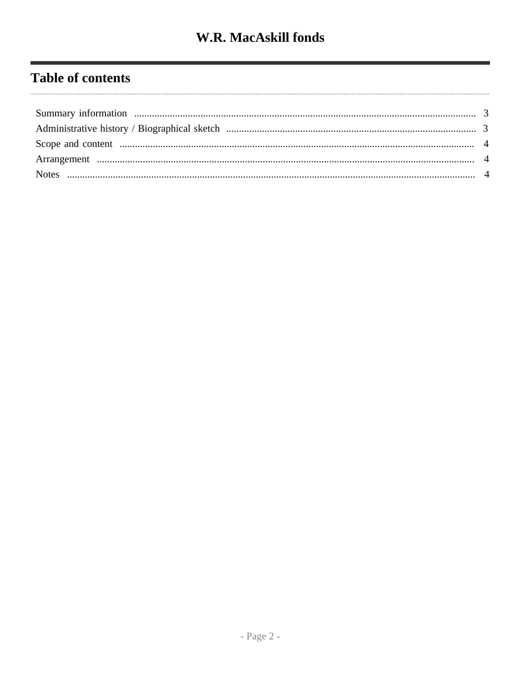# **Table of contents**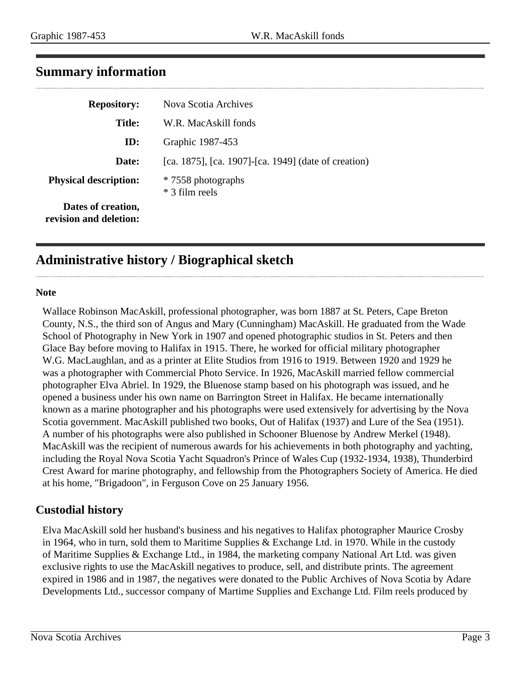<span id="page-2-0"></span>

|  | <b>Summary information</b> |
|--|----------------------------|
|--|----------------------------|

| <b>Repository:</b>                           | Nova Scotia Archives                                 |
|----------------------------------------------|------------------------------------------------------|
| <b>Title:</b>                                | W.R. MacAskill fonds                                 |
| ID:                                          | Graphic 1987-453                                     |
| Date:                                        | [ca. 1875], [ca. 1907]-[ca. 1949] (date of creation) |
| <b>Physical description:</b>                 | * 7558 photographs<br>* 3 film reels                 |
| Dates of creation,<br>revision and deletion: |                                                      |

# <span id="page-2-1"></span>**Administrative history / Biographical sketch**

#### **Note**

Wallace Robinson MacAskill, professional photographer, was born 1887 at St. Peters, Cape Breton County, N.S., the third son of Angus and Mary (Cunningham) MacAskill. He graduated from the Wade School of Photography in New York in 1907 and opened photographic studios in St. Peters and then Glace Bay before moving to Halifax in 1915. There, he worked for official military photographer W.G. MacLaughlan, and as a printer at Elite Studios from 1916 to 1919. Between 1920 and 1929 he was a photographer with Commercial Photo Service. In 1926, MacAskill married fellow commercial photographer Elva Abriel. In 1929, the Bluenose stamp based on his photograph was issued, and he opened a business under his own name on Barrington Street in Halifax. He became internationally known as a marine photographer and his photographs were used extensively for advertising by the Nova Scotia government. MacAskill published two books, Out of Halifax (1937) and Lure of the Sea (1951). A number of his photographs were also published in Schooner Bluenose by Andrew Merkel (1948). MacAskill was the recipient of numerous awards for his achievements in both photography and yachting, including the Royal Nova Scotia Yacht Squadron's Prince of Wales Cup (1932-1934, 1938), Thunderbird Crest Award for marine photography, and fellowship from the Photographers Society of America. He died at his home, "Brigadoon", in Ferguson Cove on 25 January 1956.

#### **Custodial history**

Elva MacAskill sold her husband's business and his negatives to Halifax photographer Maurice Crosby in 1964, who in turn, sold them to Maritime Supplies & Exchange Ltd. in 1970. While in the custody of Maritime Supplies & Exchange Ltd., in 1984, the marketing company National Art Ltd. was given exclusive rights to use the MacAskill negatives to produce, sell, and distribute prints. The agreement expired in 1986 and in 1987, the negatives were donated to the Public Archives of Nova Scotia by Adare Developments Ltd., successor company of Martime Supplies and Exchange Ltd. Film reels produced by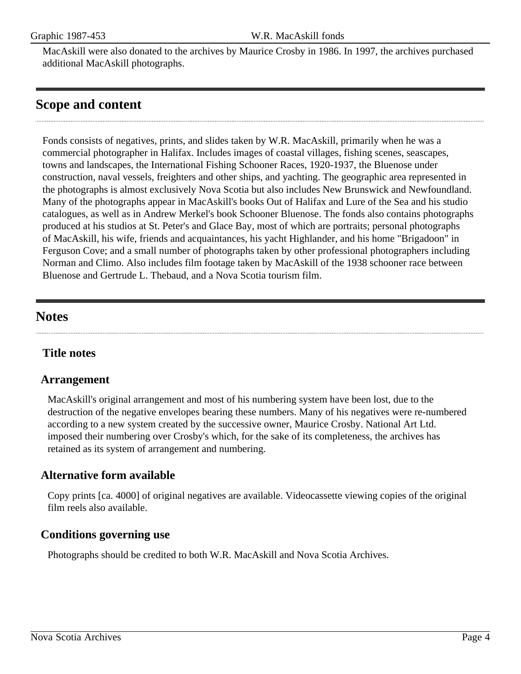MacAskill were also donated to the archives by Maurice Crosby in 1986. In 1997, the archives purchased additional MacAskill photographs.

## <span id="page-3-0"></span>**Scope and content**

Fonds consists of negatives, prints, and slides taken by W.R. MacAskill, primarily when he was a commercial photographer in Halifax. Includes images of coastal villages, fishing scenes, seascapes, towns and landscapes, the International Fishing Schooner Races, 1920-1937, the Bluenose under construction, naval vessels, freighters and other ships, and yachting. The geographic area represented in the photographs is almost exclusively Nova Scotia but also includes New Brunswick and Newfoundland. Many of the photographs appear in MacAskill's books Out of Halifax and Lure of the Sea and his studio catalogues, as well as in Andrew Merkel's book Schooner Bluenose. The fonds also contains photographs produced at his studios at St. Peter's and Glace Bay, most of which are portraits; personal photographs of MacAskill, his wife, friends and acquaintances, his yacht Highlander, and his home "Brigadoon" in Ferguson Cove; and a small number of photographs taken by other professional photographers including Norman and Climo. Also includes film footage taken by MacAskill of the 1938 schooner race between Bluenose and Gertrude L. Thebaud, and a Nova Scotia tourism film.

## <span id="page-3-2"></span>**Notes**

## **Title notes**

#### <span id="page-3-1"></span>**Arrangement**

MacAskill's original arrangement and most of his numbering system have been lost, due to the destruction of the negative envelopes bearing these numbers. Many of his negatives were re-numbered according to a new system created by the successive owner, Maurice Crosby. National Art Ltd. imposed their numbering over Crosby's which, for the sake of its completeness, the archives has retained as its system of arrangement and numbering.

### **Alternative form available**

Copy prints [ca. 4000] of original negatives are available. Videocassette viewing copies of the original film reels also available.

### **Conditions governing use**

Photographs should be credited to both W.R. MacAskill and Nova Scotia Archives.